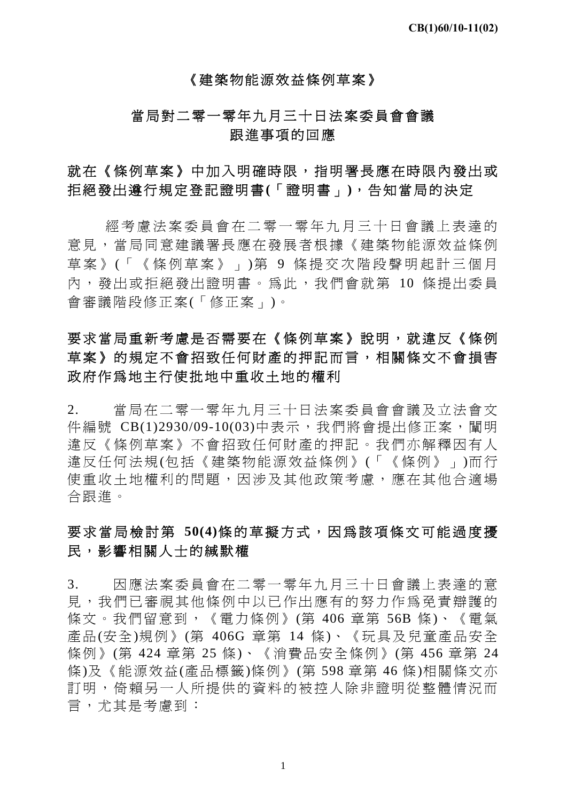#### 《建築物能源效益條例草案》

## 當局對二零一零年九月三十日法案委員會會議 跟進事項的回應

# 就在《條例草案》中加入明確時限,指明署長應在時限內發出或 拒絕發出遵行規定登記證明書**(**「證明書」**)**,告知當局的決定

經考慮法案委員會在二零一零年九月三十日會議上表達的 意見,當局同意建議署長應在發展者根據《建築物能源效益條例 草案》 (「《條例草案》」 )第 9 條提交次階段聲明起計三個月 內,發出或拒絕發出證明書。為此,我們會就第 10 條提出委員 會審議階段修正案(「修正案」)。

# 要求當局重新考慮是否需要在《條例草案》說明,就違反《條例 草案》的規定不會招致任何財產的押記而言,相關條文不會損害 政府作為地主行使批地中重收土地的權利

2. 當局在二零一零年九月三十日法案委員會會議及立法會文 件編號 CB(1)2930/09-10(03)中表示,我們將會提出修正案,闡明 違反《條例草案》不會招致任何財產的押記。我們亦解釋因有人 違反任何法規(包括《建築物能源效益條例》(「《條例》」)而行 使重收土地權利的問題,因涉及其他政策考慮,應在其他合適場 合跟進。

# 要求當局檢討第 **50(4)**條的草擬方式,因為該項條文可能過度擾 民,影響相關人士的緘默權

3. 因應法案委員會在二零一零年九月三十日會議上表達的意 見,我們已審視其他條例中以已作出應有的努力作爲免責辯護的 條文。我們留意到,《電力條例》(第 406 章第 56B 條)、《電氣 產品(安全)規例》(第 406G 章第 14 條)、《玩具及兒童產品安全 條例》(第 424 章第 25 條)、《消費品安全條例》(第 456 章第 24 條)及《能源效益(產品標籤)條例》(第 598 章第 46 條)相關條文亦 訂明,倚賴另一人所提供的資料的被控人除非證明從整體情況而 言,尤其是考慮到:

<sup>1</sup>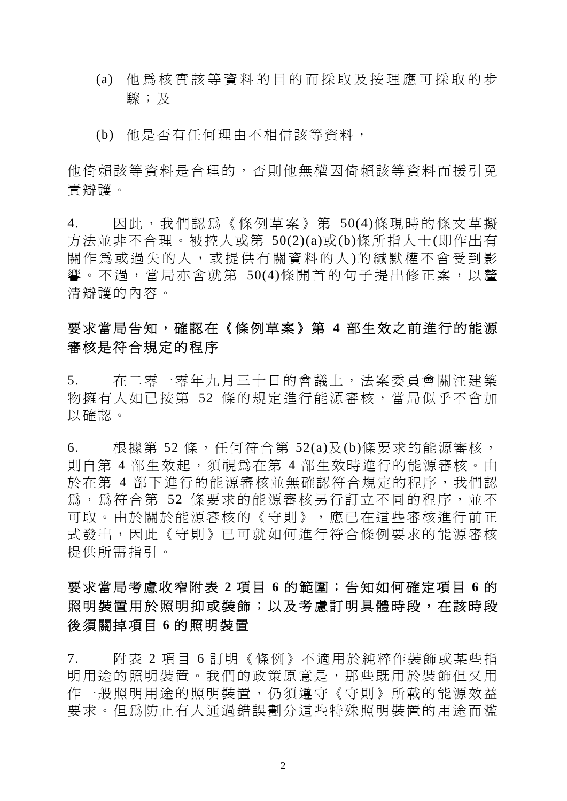- (a) 他為核實該等資料的目的而採取及按理應可採取的步 驟;及
- (b) 他是否有任何理由不相信該等資料,

他倚賴該等資料是合理的,否則他無權因倚賴該等資料而援引免 責辯護。

4. 因此,我們認為《條例草案》第 50(4)條現時的條文草擬 方法並非不合理。被控人或第 50(2)(a)或(b)條所指人士(即作出有 關作為或過失的人,或提供有關資料的人)的緘默權不會受到影 響。不渦,當局亦會就第 50(4)條開首的句子提出修正案,以釐 清辯護的內容。

# 要求當局告知,確認在《條例草案》第 **4** 部生效之前進行的能源 審核是符合規定的程序

5. 在二零一零年九月三十日的會議上,法案委員會關注建築 物擁有人如已按第 52 條的規定進行能源審核,當局似乎不會加 以確認。

 $6.$  极據第 52條,任何符合第 52(a)及(b)條要求的能源審核, 則自第 4 部生效起,須視為在第 4 部生效時淮行的能源審核。由 於在第 4 部下進行的能源審核並無確認符合規定的程序,我們認 為,為符合第 52 條要求的能源審核另行訂立不同的程序,並不 可取。由於關於能源審核的《守則》,應已在這些審核進行前正 式發出,因此《守則》已可就如何進行符合條例要求的能源審核 提供所需指引。

# 要求當局考慮收窄附表 **2** 項目 **6** 的範圍;告知如何確定項目 **6** 的 照明裝置用於照明抑或裝飾;以及考慮訂明具體時段,在該時段 後須關掉項目 **6** 的照明裝置

7. 附表 2 項目 6 訂明《條例》不適用於純粹作裝飾或某些指 明用途的照明裝置。我們的政策原意是,那些既用於裝飾但又用 作一般照明用途的照明裝置,仍須遵守《守則》所載的能源效益 要求。但為防止有人通過錯誤劃分這些特殊照明裝置的用途而濫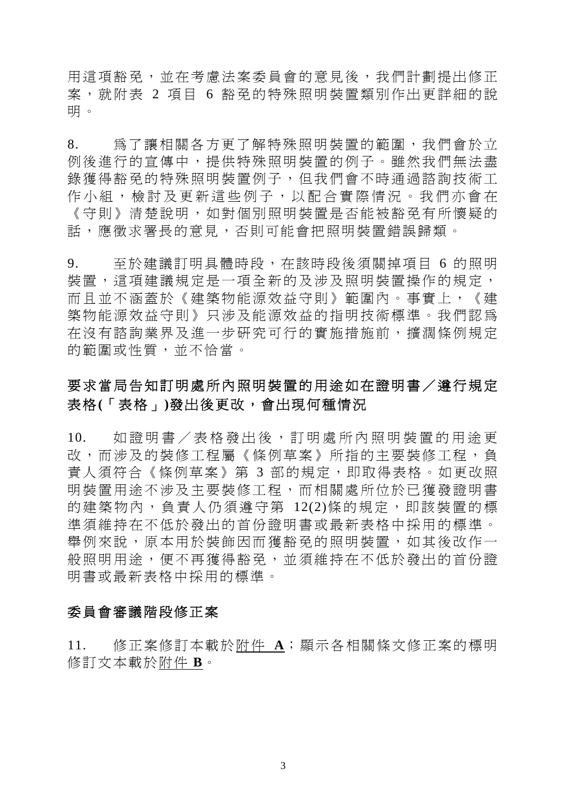用這項豁免,並在考慮法案委員會的意見後,我們計劃提出修正 案,就附表 2 項目 6 豁免的特殊照明裝置類別作出更詳細的說 明。

8. 為了讓相關各方更了解特殊照明裝置的範圍,我們會於立 例後進行的宣傳中,提供特殊照明裝置的例子。雖然我們無法盡 錄獲得豁免的特殊照明裝置例子,但我們會不時通過諮詢技術工 作小組,檢討及更新這些例子,以配合實際情況。我們亦會在 《守則》清楚說明,如對個別照明裝置是否能被豁免有所懷疑的 話,應徵求署長的意見,否則可能會把照明裝置錯誤歸類。

9. 至於建議訂明具體時段,在該時段後須關掉項目 6 的照明 裝置,這項建議規定是一項全新的及涉及照明裝置操作的規定, 而且並不涵蓋於《建築物能源效益守則》範圍內。事實上,《建 築物能源效益守則》只涉及能源效益的指明技術標準。我們認為 在沒有諮詢業界及進一步研究可行的實施措施前,擴濶條例規定 的範圍或性質,並不恰當。

# 要求當局告知訂明處所內照明裝置的用途如在證明書/遵行規定 表格**(**「表格」**)**發出後更改,會出現何種情況

10. 如證明書/表格發出後,訂明處所內照明裝置的用途更 改,而涉及的裝修工程屬《條例草案》所指的主要裝修工程,負 責人須符合《條例草案》第 3 部的規定,即取得表格。如更改照 明裝置用途不涉及主要裝修工程,而相關處所位於已獲發證明書 的建築物內,負責人仍須遵守第 12(2)條的規定,即該裝置的標 準須維持在不低於發出的首份證明書或最新表格中採用的標準。 舉例來說,原本用於裝飾因而獲豁免的照明裝置,如其後改作一 般照明用途,便不再獲得豁免,並須維持在不低於發出的首份證 明書或最新表格中採用的標準。

#### 委員會審議階段修正案

11. 修正案修訂本載於附件 **A**;顯示各相關條文修正案的標明 修訂文本載於附件 **B**。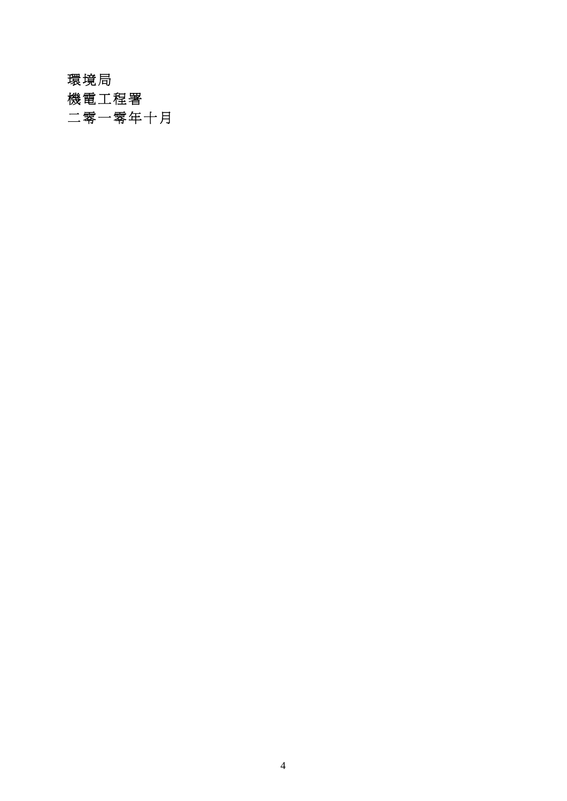# 環境局

機電工程署

二零一零年十月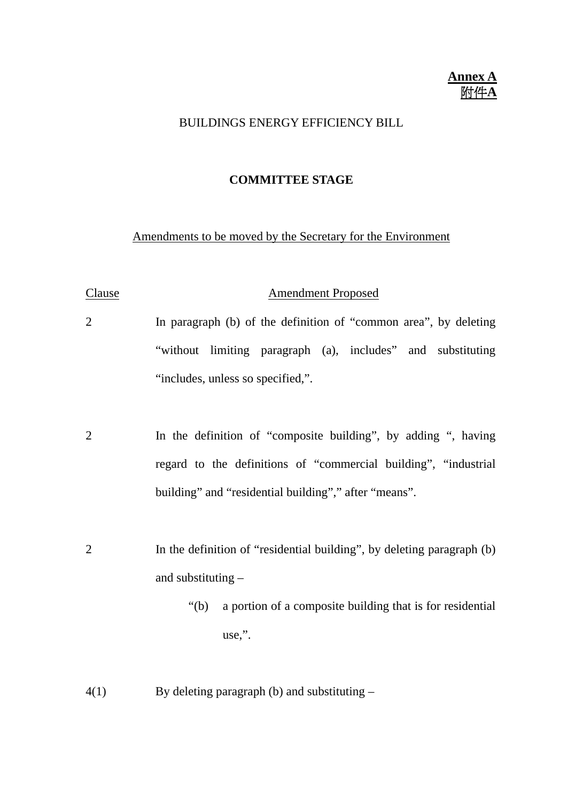#### **Annex A** 附件**A**

#### BUILDINGS ENERGY EFFICIENCY BILL

#### **COMMITTEE STAGE**

#### Amendments to be moved by the Secretary for the Environment

#### Clause Amendment Proposed

- 2 In paragraph (b) of the definition of "common area", by deleting "without limiting paragraph (a), includes" and substituting "includes, unless so specified,".
- 2 In the definition of "composite building", by adding ", having regard to the definitions of "commercial building", "industrial building" and "residential building"," after "means".
- 2 In the definition of "residential building", by deleting paragraph (b) and substituting –
	- "(b) a portion of a composite building that is for residential use,".
- 4(1) By deleting paragraph (b) and substituting –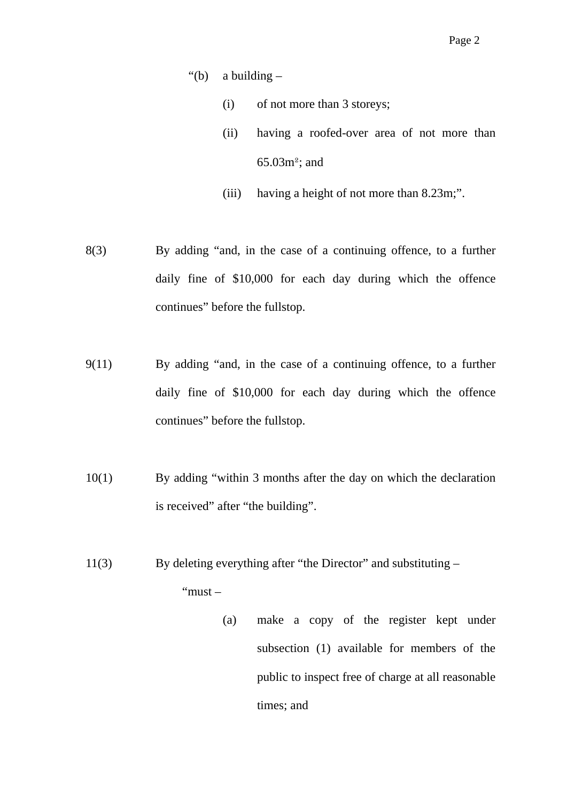- "(b) a building  $-$ 
	- (i) of not more than 3 storeys;
	- (ii) having a roofed-over area of not more than 65.03m²; and
	- (iii) having a height of not more than 8.23m;".
- 8(3) By adding "and, in the case of a continuing offence, to a further daily fine of \$10,000 for each day during which the offence continues" before the fullstop.
- 9(11) By adding "and, in the case of a continuing offence, to a further daily fine of \$10,000 for each day during which the offence continues" before the fullstop.
- 10(1) By adding "within 3 months after the day on which the declaration is received" after "the building".
- 11(3) By deleting everything after "the Director" and substituting "must –
	- (a) make a copy of the register kept under subsection (1) available for members of the public to inspect free of charge at all reasonable times; and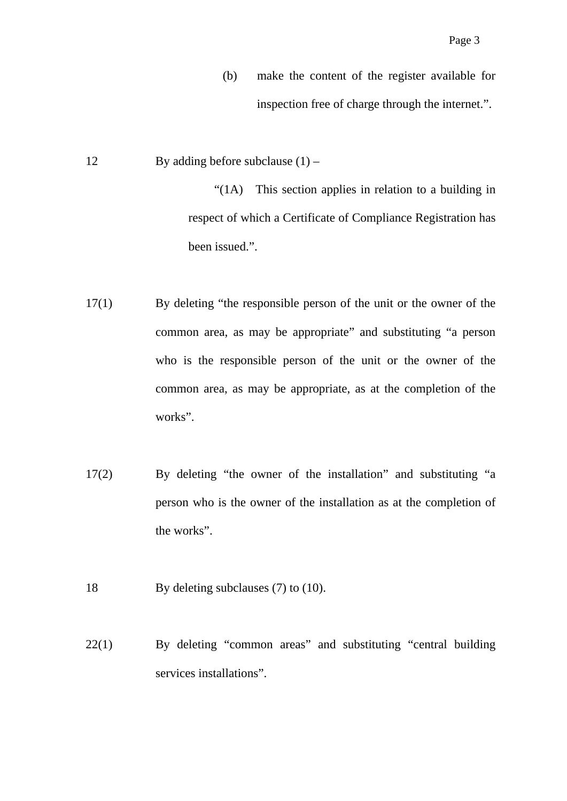- (b) make the content of the register available for inspection free of charge through the internet.".
- 12 By adding before subclause  $(1)$  –

 "(1A) This section applies in relation to a building in respect of which a Certificate of Compliance Registration has been issued.".

- 17(1) By deleting "the responsible person of the unit or the owner of the common area, as may be appropriate" and substituting "a person who is the responsible person of the unit or the owner of the common area, as may be appropriate, as at the completion of the works".
- 17(2) By deleting "the owner of the installation" and substituting "a person who is the owner of the installation as at the completion of the works".
- 18 By deleting subclauses (7) to (10).
- 22(1) By deleting "common areas" and substituting "central building services installations".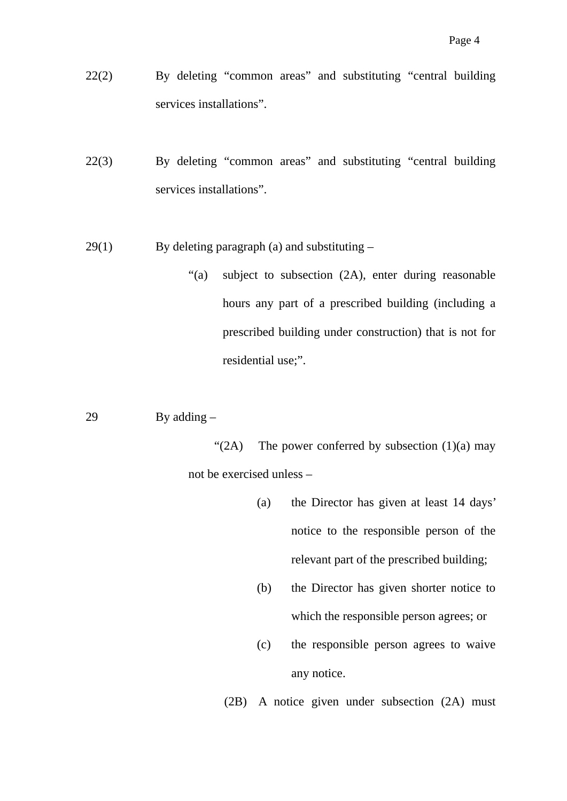- 22(2) By deleting "common areas" and substituting "central building services installations".
- 22(3) By deleting "common areas" and substituting "central building services installations".
- $29(1)$  By deleting paragraph (a) and substituting
	- "(a) subject to subsection (2A), enter during reasonable hours any part of a prescribed building (including a prescribed building under construction) that is not for residential use;".

29 By adding –

"(2A) The power conferred by subsection  $(1)(a)$  may not be exercised unless –

- (a) the Director has given at least 14 days' notice to the responsible person of the relevant part of the prescribed building;
- (b) the Director has given shorter notice to which the responsible person agrees; or
- (c) the responsible person agrees to waive any notice.

(2B) A notice given under subsection (2A) must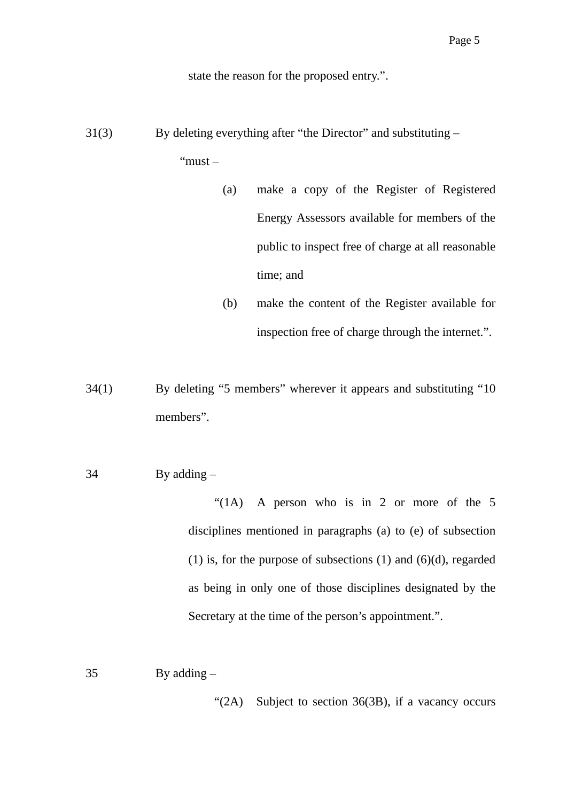state the reason for the proposed entry.".

31(3) By deleting everything after "the Director" and substituting –

"must –

- (a) make a copy of the Register of Registered Energy Assessors available for members of the public to inspect free of charge at all reasonable time; and
- (b) make the content of the Register available for inspection free of charge through the internet.".

34(1) By deleting "5 members" wherever it appears and substituting "10 members".

34 By adding –

 "(1A) A person who is in 2 or more of the 5 disciplines mentioned in paragraphs (a) to (e) of subsection (1) is, for the purpose of subsections  $(1)$  and  $(6)(d)$ , regarded as being in only one of those disciplines designated by the Secretary at the time of the person's appointment.".

35 By adding –

"(2A) Subject to section 36(3B), if a vacancy occurs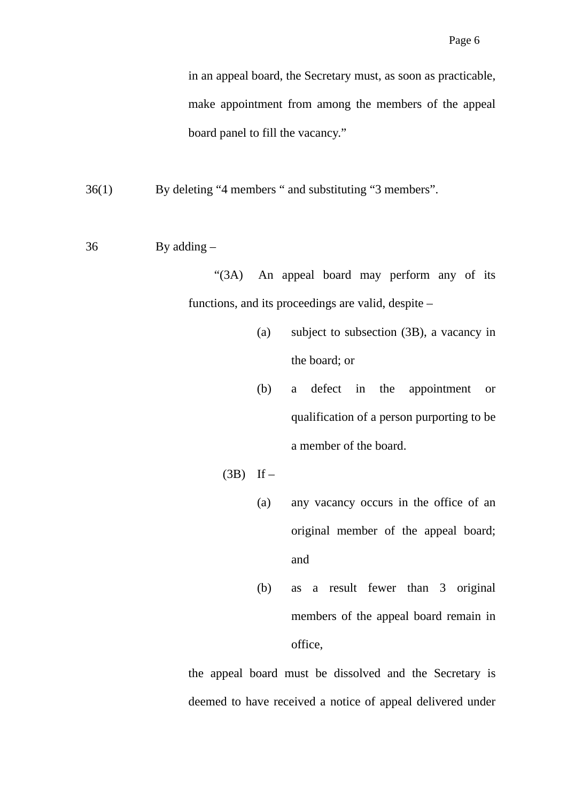in an appeal board, the Secretary must, as soon as practicable, make appointment from among the members of the appeal board panel to fill the vacancy."

36(1) By deleting "4 members " and substituting "3 members".

36 By adding –

 "(3A) An appeal board may perform any of its functions, and its proceedings are valid, despite –

- (a) subject to subsection (3B), a vacancy in the board; or
- (b) a defect in the appointment or qualification of a person purporting to be a member of the board.
- $(3B)$  If
	- (a) any vacancy occurs in the office of an original member of the appeal board; and
	- (b) as a result fewer than 3 original members of the appeal board remain in office,

the appeal board must be dissolved and the Secretary is deemed to have received a notice of appeal delivered under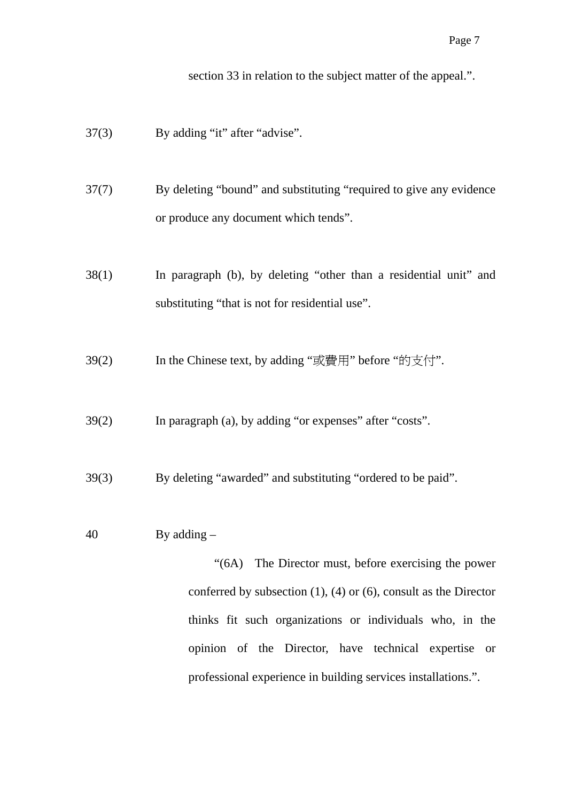section 33 in relation to the subject matter of the appeal.".

- 37(3) By adding "it" after "advise".
- 37(7) By deleting "bound" and substituting "required to give any evidence or produce any document which tends".
- 38(1) In paragraph (b), by deleting "other than a residential unit" and substituting "that is not for residential use".
- 39(2) In the Chinese text, by adding "或費用" before "的支付".
- 39(2) In paragraph (a), by adding "or expenses" after "costs".
- 39(3) By deleting "awarded" and substituting "ordered to be paid".
- 40 By adding –

 "(6A) The Director must, before exercising the power conferred by subsection (1), (4) or (6), consult as the Director thinks fit such organizations or individuals who, in the opinion of the Director, have technical expertise or professional experience in building services installations.".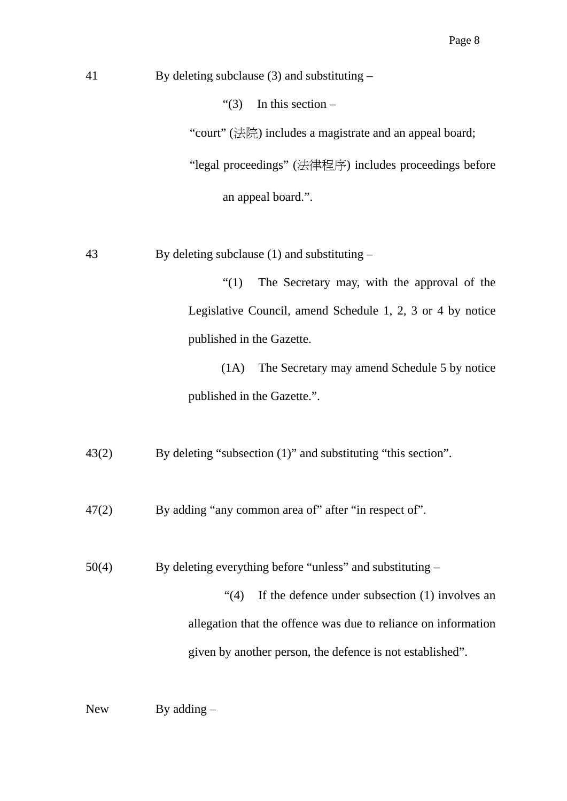41 By deleting subclause (3) and substituting –

"(3) In this section  $-$ 

"court" (法院) includes a magistrate and an appeal board;

"legal proceedings" (法律程序) includes proceedings before

an appeal board.".

43 By deleting subclause (1) and substituting –

 "(1) The Secretary may, with the approval of the Legislative Council, amend Schedule 1, 2, 3 or 4 by notice published in the Gazette.

 (1A) The Secretary may amend Schedule 5 by notice published in the Gazette.".

43(2) By deleting "subsection (1)" and substituting "this section".

47(2) By adding "any common area of" after "in respect of".

50(4) By deleting everything before "unless" and substituting –

 "(4) If the defence under subsection (1) involves an allegation that the offence was due to reliance on information given by another person, the defence is not established".

New By adding –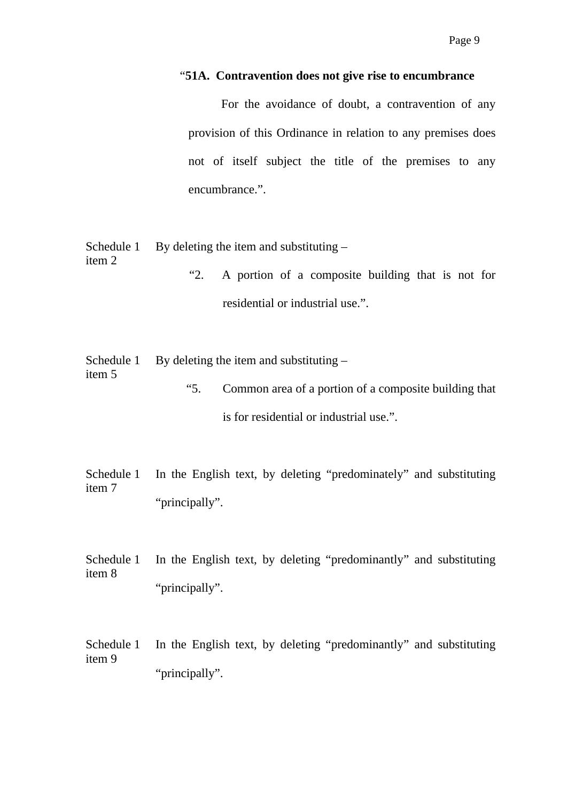#### "**51A. Contravention does not give rise to encumbrance**

 For the avoidance of doubt, a contravention of any provision of this Ordinance in relation to any premises does not of itself subject the title of the premises to any encumbrance.".

Schedule 1 By deleting the item and substituting –

item 2 "2. A portion of a composite building that is not for residential or industrial use.".

Schedule 1 By deleting the item and substituting –

item 5

- "5. Common area of a portion of a composite building that is for residential or industrial use.".
- Schedule 1 item 7 In the English text, by deleting "predominately" and substituting "principally".
- Schedule 1 item 8 In the English text, by deleting "predominantly" and substituting "principally".
- Schedule 1 item 9 In the English text, by deleting "predominantly" and substituting "principally".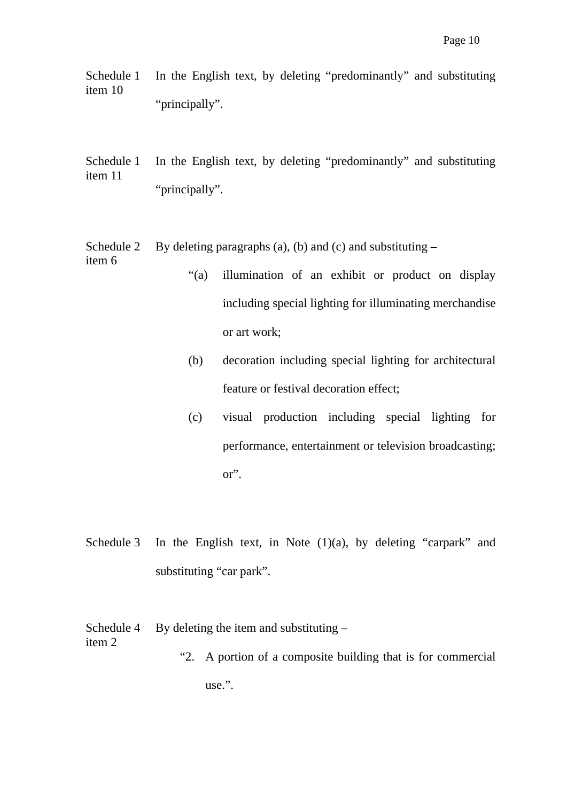Schedule 1 item 10 In the English text, by deleting "predominantly" and substituting "principally".

Schedule 1 item 11 In the English text, by deleting "predominantly" and substituting "principally".

Schedule 2 item 6 By deleting paragraphs (a), (b) and (c) and substituting  $-$ 

- "(a) illumination of an exhibit or product on display including special lighting for illuminating merchandise or art work;
	- (b) decoration including special lighting for architectural feature or festival decoration effect;
	- (c) visual production including special lighting for performance, entertainment or television broadcasting; or".
- Schedule 3 In the English text, in Note  $(1)(a)$ , by deleting "carpark" and substituting "car park".
- Schedule 4 item 2 By deleting the item and substituting – "2. A portion of a composite building that is for commercial

use.".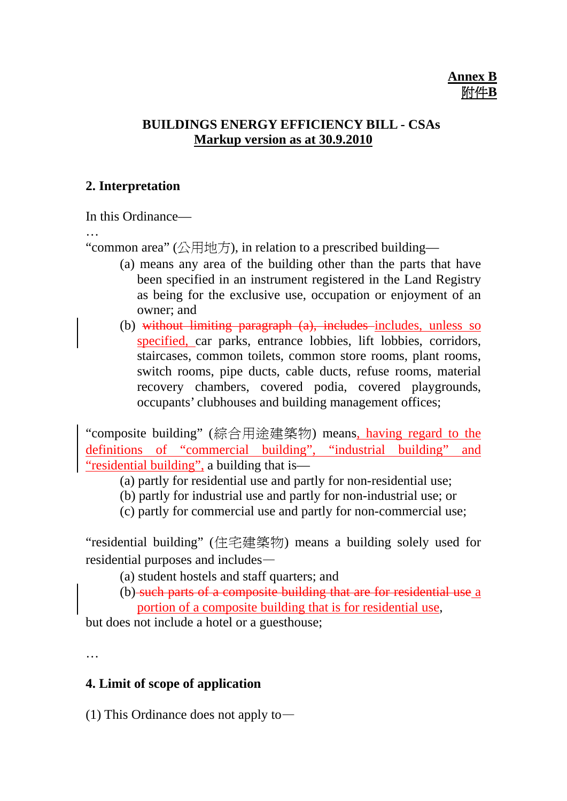#### **BUILDINGS ENERGY EFFICIENCY BILL - CSAs Markup version as at 30.9.2010**

#### **2. Interpretation**

In this Ordinance—

…

"common area" (公用地方), in relation to a prescribed building—

- (a) means any area of the building other than the parts that have been specified in an instrument registered in the Land Registry as being for the exclusive use, occupation or enjoyment of an owner; and
- (b) without limiting paragraph (a), includes includes, unless so specified, car parks, entrance lobbies, lift lobbies, corridors, staircases, common toilets, common store rooms, plant rooms, switch rooms, pipe ducts, cable ducts, refuse rooms, material recovery chambers, covered podia, covered playgrounds, occupants' clubhouses and building management offices;

"composite building" (綜合用途建築物) means, having regard to the definitions of "commercial building", "industrial building" and "residential building", a building that is—

- (a) partly for residential use and partly for non-residential use;
- (b) partly for industrial use and partly for non-industrial use; or
- (c) partly for commercial use and partly for non-commercial use;

"residential building" (住宅建築物) means a building solely used for residential purposes and includes—

- (a) student hostels and staff quarters; and
- (b) such parts of a composite building that are for residential use a portion of a composite building that is for residential use,

but does not include a hotel or a guesthouse;

…

## **4. Limit of scope of application**

(1) This Ordinance does not apply to—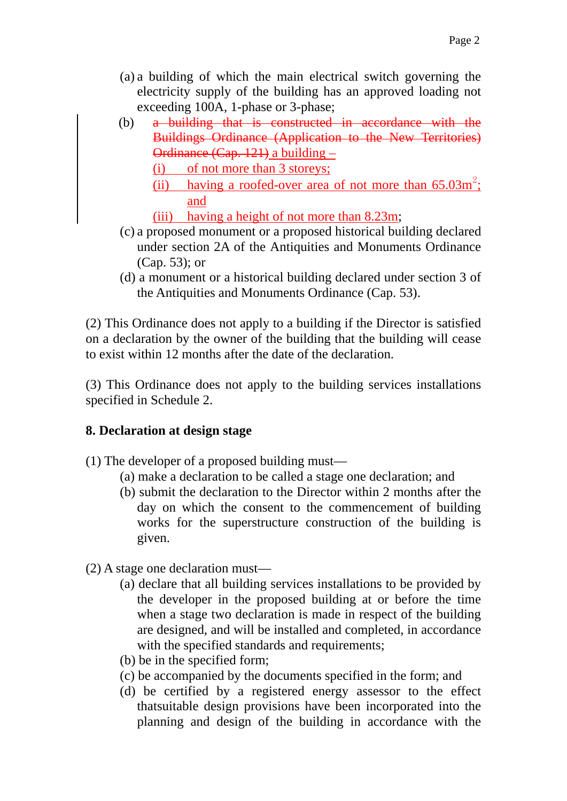- (a) a building of which the main electrical switch governing the electricity supply of the building has an approved loading not exceeding 100A, 1-phase or 3-phase;
- (b) a building that is constructed in accordance with the Buildings Ordinance (Application to the New Territories) Ordinance (Cap. 121) a building –
	- (i) of not more than 3 storeys;
	- (ii) having a roofed-over area of not more than  $65.03m^2$ ; and
	- (iii) having a height of not more than 8.23m;
- (c) a proposed monument or a proposed historical building declared under section 2A of the Antiquities and Monuments Ordinance (Cap. 53); or
- (d) a monument or a historical building declared under section 3 of the Antiquities and Monuments Ordinance (Cap. 53).

(2) This Ordinance does not apply to a building if the Director is satisfied on a declaration by the owner of the building that the building will cease to exist within 12 months after the date of the declaration.

(3) This Ordinance does not apply to the building services installations specified in Schedule 2.

# **8. Declaration at design stage**

- (1) The developer of a proposed building must—
	- (a) make a declaration to be called a stage one declaration; and
	- (b) submit the declaration to the Director within 2 months after the day on which the consent to the commencement of building works for the superstructure construction of the building is given.
- (2) A stage one declaration must—
	- (a) declare that all building services installations to be provided by the developer in the proposed building at or before the time when a stage two declaration is made in respect of the building are designed, and will be installed and completed, in accordance with the specified standards and requirements;
	- (b) be in the specified form;
	- (c) be accompanied by the documents specified in the form; and
	- (d) be certified by a registered energy assessor to the effect thatsuitable design provisions have been incorporated into the planning and design of the building in accordance with the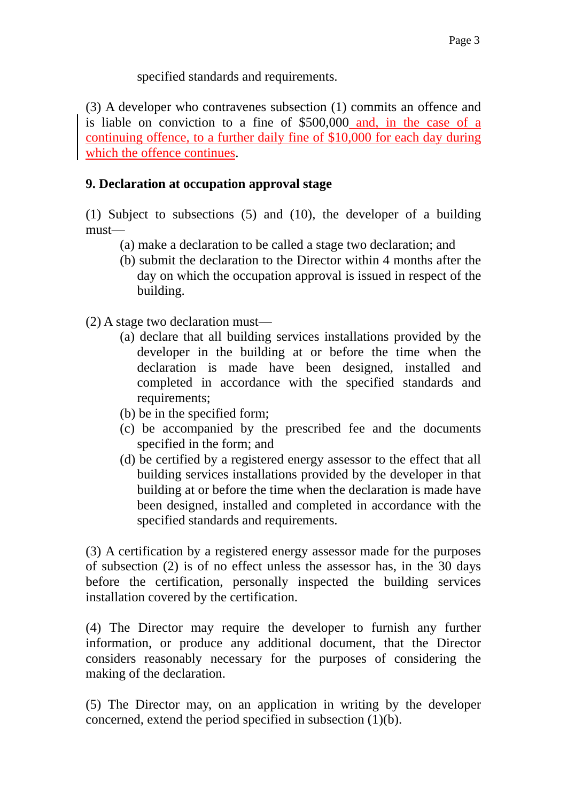specified standards and requirements.

(3) A developer who contravenes subsection (1) commits an offence and is liable on conviction to a fine of \$500,000 and, in the case of a continuing offence, to a further daily fine of \$10,000 for each day during which the offence continues.

#### **9. Declaration at occupation approval stage**

(1) Subject to subsections (5) and (10), the developer of a building must—

- (a) make a declaration to be called a stage two declaration; and
- (b) submit the declaration to the Director within 4 months after the day on which the occupation approval is issued in respect of the building.
- (2) A stage two declaration must—
	- (a) declare that all building services installations provided by the developer in the building at or before the time when the declaration is made have been designed, installed and completed in accordance with the specified standards and requirements;
	- (b) be in the specified form;
	- (c) be accompanied by the prescribed fee and the documents specified in the form; and
	- (d) be certified by a registered energy assessor to the effect that all building services installations provided by the developer in that building at or before the time when the declaration is made have been designed, installed and completed in accordance with the specified standards and requirements.

(3) A certification by a registered energy assessor made for the purposes of subsection (2) is of no effect unless the assessor has, in the 30 days before the certification, personally inspected the building services installation covered by the certification.

(4) The Director may require the developer to furnish any further information, or produce any additional document, that the Director considers reasonably necessary for the purposes of considering the making of the declaration.

(5) The Director may, on an application in writing by the developer concerned, extend the period specified in subsection (1)(b).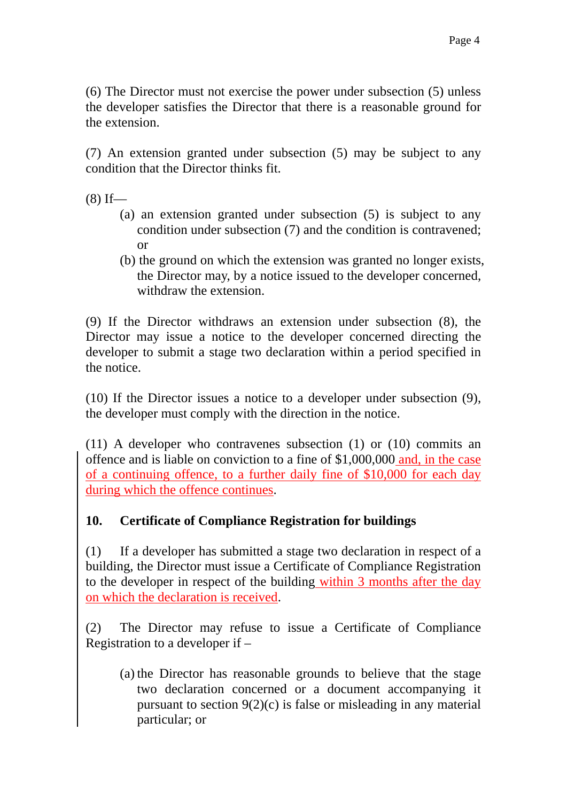(6) The Director must not exercise the power under subsection (5) unless the developer satisfies the Director that there is a reasonable ground for the extension.

(7) An extension granted under subsection (5) may be subject to any condition that the Director thinks fit.

 $(8)$  If—

- (a) an extension granted under subsection (5) is subject to any condition under subsection (7) and the condition is contravened; or
- (b) the ground on which the extension was granted no longer exists, the Director may, by a notice issued to the developer concerned, withdraw the extension.

(9) If the Director withdraws an extension under subsection (8), the Director may issue a notice to the developer concerned directing the developer to submit a stage two declaration within a period specified in the notice.

(10) If the Director issues a notice to a developer under subsection (9), the developer must comply with the direction in the notice.

(11) A developer who contravenes subsection (1) or (10) commits an offence and is liable on conviction to a fine of \$1,000,000 and, in the case of a continuing offence, to a further daily fine of \$10,000 for each day during which the offence continues.

## **10. Certificate of Compliance Registration for buildings**

(1) If a developer has submitted a stage two declaration in respect of a building, the Director must issue a Certificate of Compliance Registration to the developer in respect of the building within 3 months after the day on which the declaration is received.

(2) The Director may refuse to issue a Certificate of Compliance Registration to a developer if –

(a) the Director has reasonable grounds to believe that the stage two declaration concerned or a document accompanying it pursuant to section 9(2)(c) is false or misleading in any material particular; or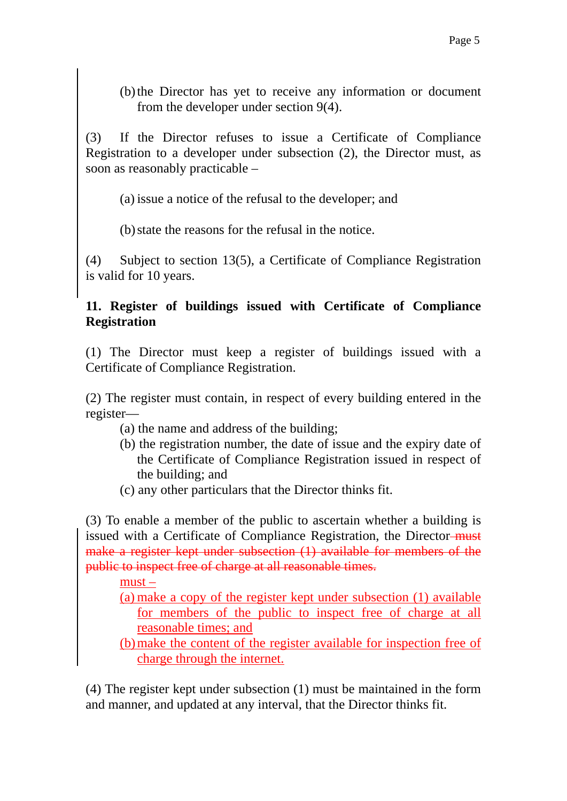(b) the Director has yet to receive any information or document from the developer under section 9(4).

(3) If the Director refuses to issue a Certificate of Compliance Registration to a developer under subsection (2), the Director must, as soon as reasonably practicable –

(a) issue a notice of the refusal to the developer; and

(b) state the reasons for the refusal in the notice.

(4) Subject to section 13(5), a Certificate of Compliance Registration is valid for 10 years.

#### **11. Register of buildings issued with Certificate of Compliance Registration**

(1) The Director must keep a register of buildings issued with a Certificate of Compliance Registration.

(2) The register must contain, in respect of every building entered in the register—

- (a) the name and address of the building;
- (b) the registration number, the date of issue and the expiry date of the Certificate of Compliance Registration issued in respect of the building; and
- (c) any other particulars that the Director thinks fit.

(3) To enable a member of the public to ascertain whether a building is issued with a Certificate of Compliance Registration, the Director-must make a register kept under subsection (1) available for members of the public to inspect free of charge at all reasonable times.

must –

(a) make a copy of the register kept under subsection (1) available for members of the public to inspect free of charge at all reasonable times; and

(b) make the content of the register available for inspection free of charge through the internet.

(4) The register kept under subsection (1) must be maintained in the form and manner, and updated at any interval, that the Director thinks fit.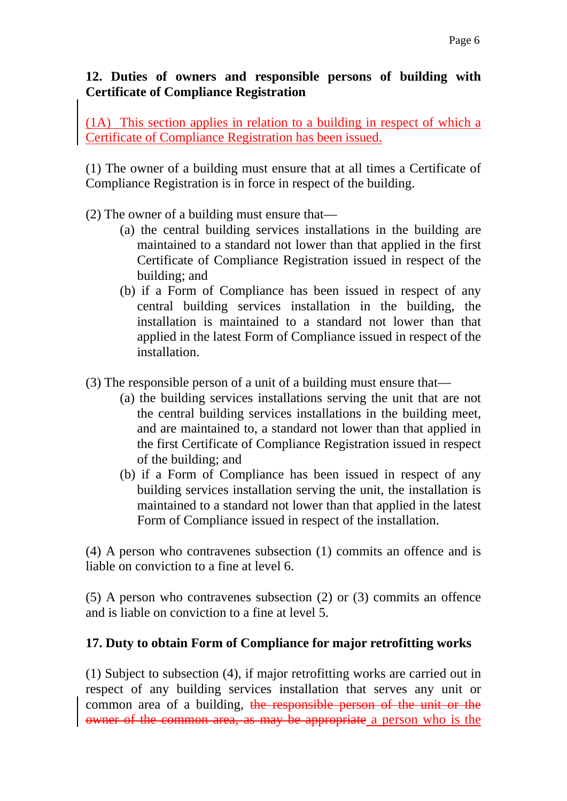## **12. Duties of owners and responsible persons of building with Certificate of Compliance Registration**

(1A) This section applies in relation to a building in respect of which a Certificate of Compliance Registration has been issued.

(1) The owner of a building must ensure that at all times a Certificate of Compliance Registration is in force in respect of the building.

- (2) The owner of a building must ensure that—
	- (a) the central building services installations in the building are maintained to a standard not lower than that applied in the first Certificate of Compliance Registration issued in respect of the building; and
	- (b) if a Form of Compliance has been issued in respect of any central building services installation in the building, the installation is maintained to a standard not lower than that applied in the latest Form of Compliance issued in respect of the installation.
- (3) The responsible person of a unit of a building must ensure that—
	- (a) the building services installations serving the unit that are not the central building services installations in the building meet, and are maintained to, a standard not lower than that applied in the first Certificate of Compliance Registration issued in respect of the building; and
	- (b) if a Form of Compliance has been issued in respect of any building services installation serving the unit, the installation is maintained to a standard not lower than that applied in the latest Form of Compliance issued in respect of the installation.

(4) A person who contravenes subsection (1) commits an offence and is liable on conviction to a fine at level 6.

(5) A person who contravenes subsection (2) or (3) commits an offence and is liable on conviction to a fine at level 5.

## **17. Duty to obtain Form of Compliance for major retrofitting works**

(1) Subject to subsection (4), if major retrofitting works are carried out in respect of any building services installation that serves any unit or common area of a building, the responsible person of the unit or the owner of the common area, as may be appropriate a person who is the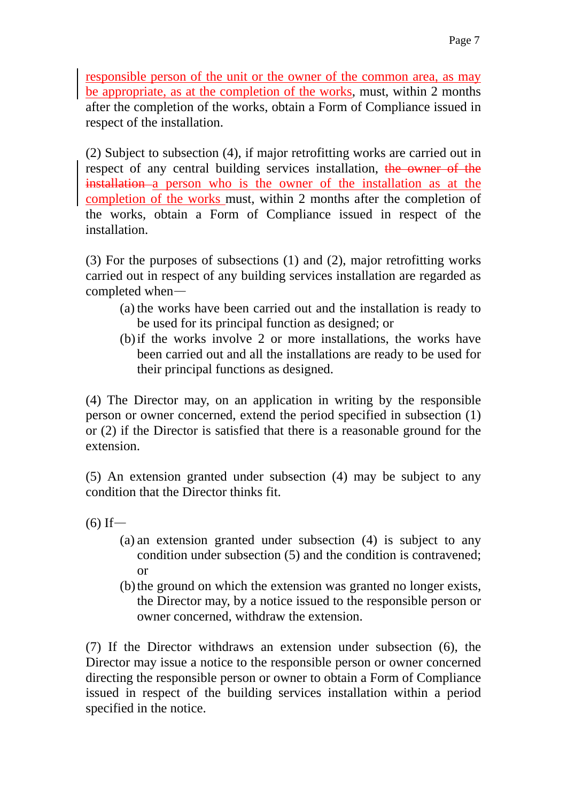responsible person of the unit or the owner of the common area, as may be appropriate, as at the completion of the works, must, within 2 months after the completion of the works, obtain a Form of Compliance issued in respect of the installation.

(2) Subject to subsection (4), if major retrofitting works are carried out in respect of any central building services installation, the owner of the installation a person who is the owner of the installation as at the completion of the works must, within 2 months after the completion of the works, obtain a Form of Compliance issued in respect of the installation.

(3) For the purposes of subsections (1) and (2), major retrofitting works carried out in respect of any building services installation are regarded as completed when—

- (a) the works have been carried out and the installation is ready to be used for its principal function as designed; or
- (b) if the works involve 2 or more installations, the works have been carried out and all the installations are ready to be used for their principal functions as designed.

(4) The Director may, on an application in writing by the responsible person or owner concerned, extend the period specified in subsection (1) or (2) if the Director is satisfied that there is a reasonable ground for the extension.

(5) An extension granted under subsection (4) may be subject to any condition that the Director thinks fit.

 $(6)$  If —

- (a) an extension granted under subsection (4) is subject to any condition under subsection (5) and the condition is contravened; or
- (b) the ground on which the extension was granted no longer exists, the Director may, by a notice issued to the responsible person or owner concerned, withdraw the extension.

(7) If the Director withdraws an extension under subsection (6), the Director may issue a notice to the responsible person or owner concerned directing the responsible person or owner to obtain a Form of Compliance issued in respect of the building services installation within a period specified in the notice.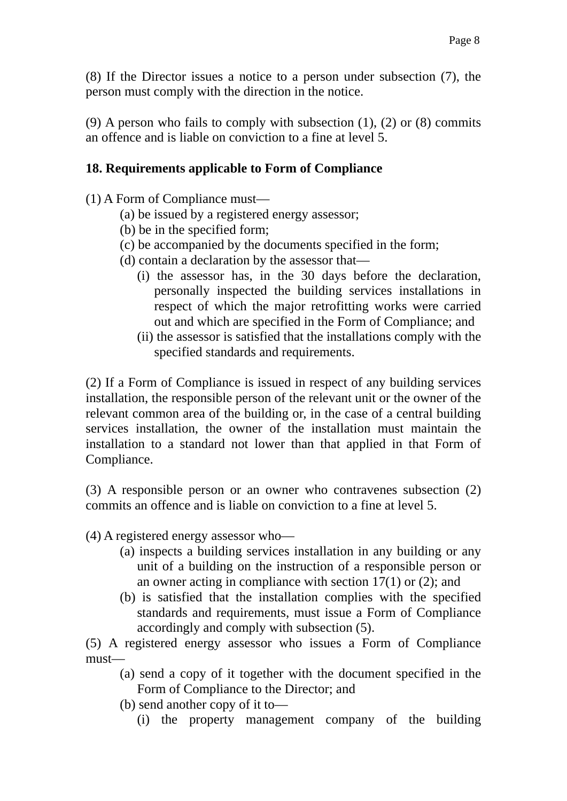(8) If the Director issues a notice to a person under subsection (7), the person must comply with the direction in the notice.

(9) A person who fails to comply with subsection  $(1)$ ,  $(2)$  or  $(8)$  commits an offence and is liable on conviction to a fine at level 5.

#### **18. Requirements applicable to Form of Compliance**

(1) A Form of Compliance must—

- (a) be issued by a registered energy assessor;
- (b) be in the specified form;
- (c) be accompanied by the documents specified in the form;
- (d) contain a declaration by the assessor that—
	- (i) the assessor has, in the 30 days before the declaration, personally inspected the building services installations in respect of which the major retrofitting works were carried out and which are specified in the Form of Compliance; and
	- (ii) the assessor is satisfied that the installations comply with the specified standards and requirements.

(2) If a Form of Compliance is issued in respect of any building services installation, the responsible person of the relevant unit or the owner of the relevant common area of the building or, in the case of a central building services installation, the owner of the installation must maintain the installation to a standard not lower than that applied in that Form of Compliance.

(3) A responsible person or an owner who contravenes subsection (2) commits an offence and is liable on conviction to a fine at level 5.

(4) A registered energy assessor who—

- (a) inspects a building services installation in any building or any unit of a building on the instruction of a responsible person or an owner acting in compliance with section 17(1) or (2); and
- (b) is satisfied that the installation complies with the specified standards and requirements, must issue a Form of Compliance accordingly and comply with subsection (5).

(5) A registered energy assessor who issues a Form of Compliance must—

- (a) send a copy of it together with the document specified in the Form of Compliance to the Director; and
- (b) send another copy of it to—
	- (i) the property management company of the building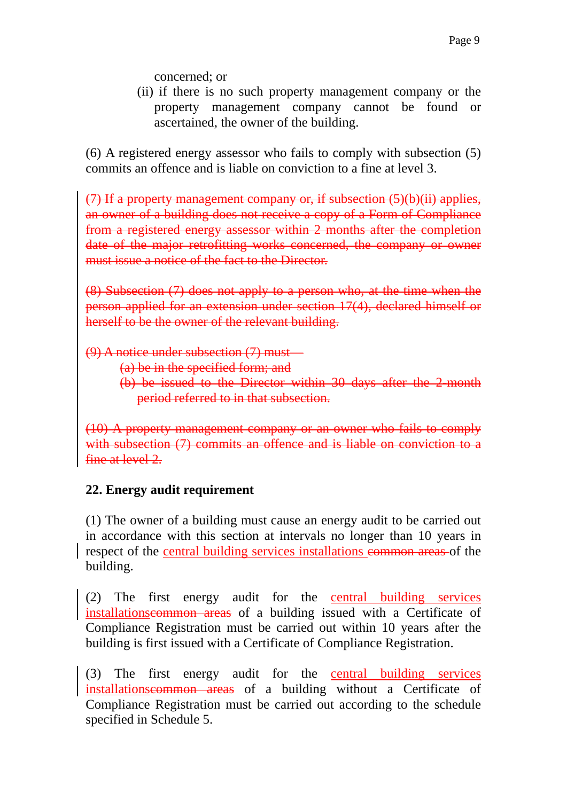concerned; or

(ii) if there is no such property management company or the property management company cannot be found or ascertained, the owner of the building.

(6) A registered energy assessor who fails to comply with subsection (5) commits an offence and is liable on conviction to a fine at level 3.

(7) If a property management company or, if subsection (5)(b)(ii) applies, an owner of a building does not receive a copy of a Form of Compliance from a registered energy assessor within 2 months after the completion date of the major retrofitting works concerned, the company or owner must issue a notice of the fact to the Director.

(8) Subsection (7) does not apply to a person who, at the time when the person applied for an extension under section 17(4), declared himself or herself to be the owner of the relevant building.

 $(9)$  A notice under subsection  $(7)$  must

(a) be in the specified form; and

(b) be issued to the Director within 30 days after the 2-month period referred to in that subsection.

(10) A property management company or an owner who fails to comply with subsection (7) commits an offence and is liable on conviction to a fine at level 2.

# **22. Energy audit requirement**

(1) The owner of a building must cause an energy audit to be carried out in accordance with this section at intervals no longer than 10 years in respect of the central building services installations common areas of the building.

(2) The first energy audit for the central building services installationscommon areas of a building issued with a Certificate of Compliance Registration must be carried out within 10 years after the building is first issued with a Certificate of Compliance Registration.

(3) The first energy audit for the central building services installationscommon areas of a building without a Certificate of Compliance Registration must be carried out according to the schedule specified in Schedule 5.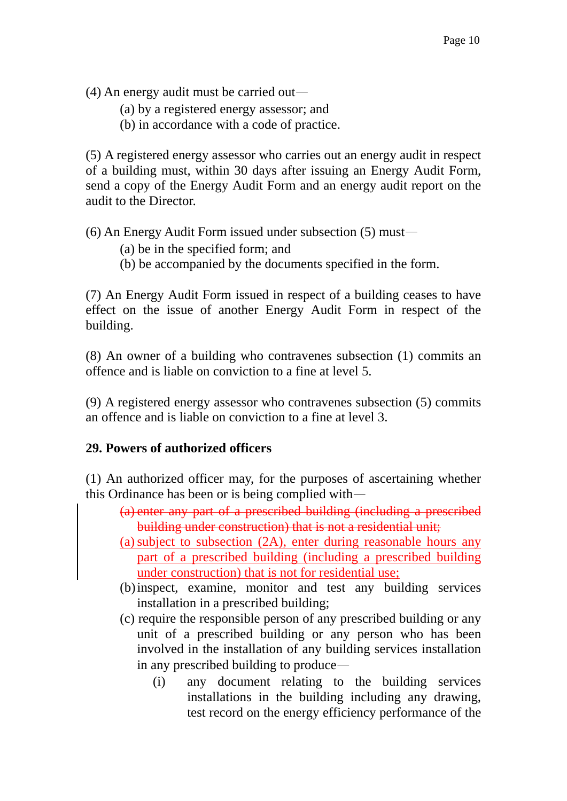(4) An energy audit must be carried out—

- (a) by a registered energy assessor; and
- (b) in accordance with a code of practice.

(5) A registered energy assessor who carries out an energy audit in respect of a building must, within 30 days after issuing an Energy Audit Form, send a copy of the Energy Audit Form and an energy audit report on the audit to the Director.

(6) An Energy Audit Form issued under subsection (5) must—

- (a) be in the specified form; and
- (b) be accompanied by the documents specified in the form.

(7) An Energy Audit Form issued in respect of a building ceases to have effect on the issue of another Energy Audit Form in respect of the building.

(8) An owner of a building who contravenes subsection (1) commits an offence and is liable on conviction to a fine at level 5.

(9) A registered energy assessor who contravenes subsection (5) commits an offence and is liable on conviction to a fine at level 3.

## **29. Powers of authorized officers**

(1) An authorized officer may, for the purposes of ascertaining whether this Ordinance has been or is being complied with—

- (a) enter any part of a prescribed building (including a prescribed building under construction) that is not a residential unit;
- (a) subject to subsection (2A), enter during reasonable hours any part of a prescribed building (including a prescribed building under construction) that is not for residential use;
- (b) inspect, examine, monitor and test any building services installation in a prescribed building;
- (c) require the responsible person of any prescribed building or any unit of a prescribed building or any person who has been involved in the installation of any building services installation in any prescribed building to produce—
	- (i) any document relating to the building services installations in the building including any drawing, test record on the energy efficiency performance of the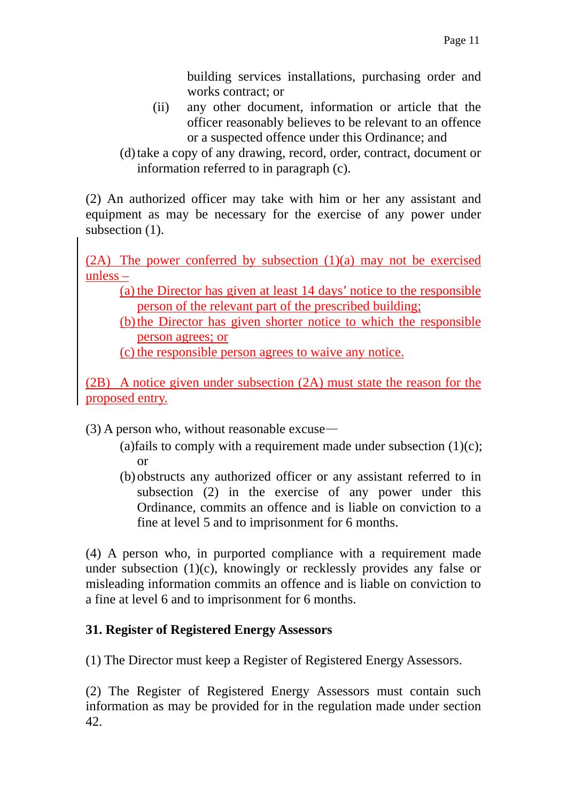building services installations, purchasing order and works contract; or

- (ii) any other document, information or article that the officer reasonably believes to be relevant to an offence or a suspected offence under this Ordinance; and
- (d) take a copy of any drawing, record, order, contract, document or information referred to in paragraph (c).

(2) An authorized officer may take with him or her any assistant and equipment as may be necessary for the exercise of any power under subsection  $(1)$ .

(2A) The power conferred by subsection (1)(a) may not be exercised unless –

(a) the Director has given at least 14 days' notice to the responsible person of the relevant part of the prescribed building;

(b) the Director has given shorter notice to which the responsible person agrees; or

(c) the responsible person agrees to waive any notice.

(2B) A notice given under subsection (2A) must state the reason for the proposed entry.

(3) A person who, without reasonable excuse—

- (a)fails to comply with a requirement made under subsection  $(1)(c)$ ; or
- (b) obstructs any authorized officer or any assistant referred to in subsection (2) in the exercise of any power under this Ordinance, commits an offence and is liable on conviction to a fine at level 5 and to imprisonment for 6 months.

(4) A person who, in purported compliance with a requirement made under subsection (1)(c), knowingly or recklessly provides any false or misleading information commits an offence and is liable on conviction to a fine at level 6 and to imprisonment for 6 months.

# **31. Register of Registered Energy Assessors**

(1) The Director must keep a Register of Registered Energy Assessors.

(2) The Register of Registered Energy Assessors must contain such information as may be provided for in the regulation made under section 42.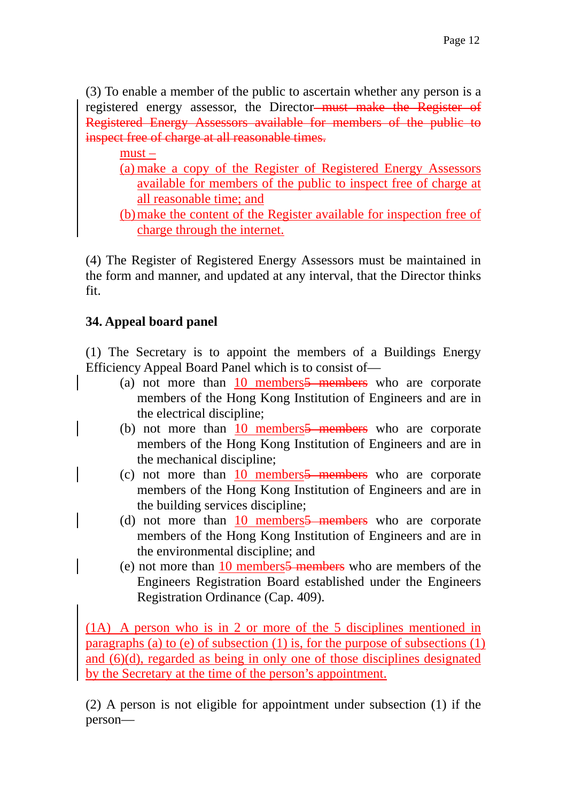(3) To enable a member of the public to ascertain whether any person is a registered energy assessor, the Director<del> must make the Register of</del> Registered Energy Assessors available for members of the public to inspect free of charge at all reasonable times.

must –

- (a) make a copy of the Register of Registered Energy Assessors available for members of the public to inspect free of charge at all reasonable time; and
- (b) make the content of the Register available for inspection free of charge through the internet.

(4) The Register of Registered Energy Assessors must be maintained in the form and manner, and updated at any interval, that the Director thinks fit.

# **34. Appeal board panel**

(1) The Secretary is to appoint the members of a Buildings Energy Efficiency Appeal Board Panel which is to consist of—

- (a) not more than  $10$  members  $\frac{5}{2}$  members who are corporate members of the Hong Kong Institution of Engineers and are in the electrical discipline;
- (b) not more than  $10$  members  $\frac{5}{2}$  members who are corporate members of the Hong Kong Institution of Engineers and are in the mechanical discipline;
- (c) not more than  $10$  members  $\frac{5}{2}$  members who are corporate members of the Hong Kong Institution of Engineers and are in the building services discipline;
- (d) not more than  $10$  members  $\frac{5}{2}$  members who are corporate members of the Hong Kong Institution of Engineers and are in the environmental discipline; and
- (e) not more than 10 members5 members who are members of the Engineers Registration Board established under the Engineers Registration Ordinance (Cap. 409).

(1A) A person who is in 2 or more of the 5 disciplines mentioned in paragraphs (a) to (e) of subsection (1) is, for the purpose of subsections (1) and (6)(d), regarded as being in only one of those disciplines designated by the Secretary at the time of the person's appointment.

(2) A person is not eligible for appointment under subsection (1) if the person—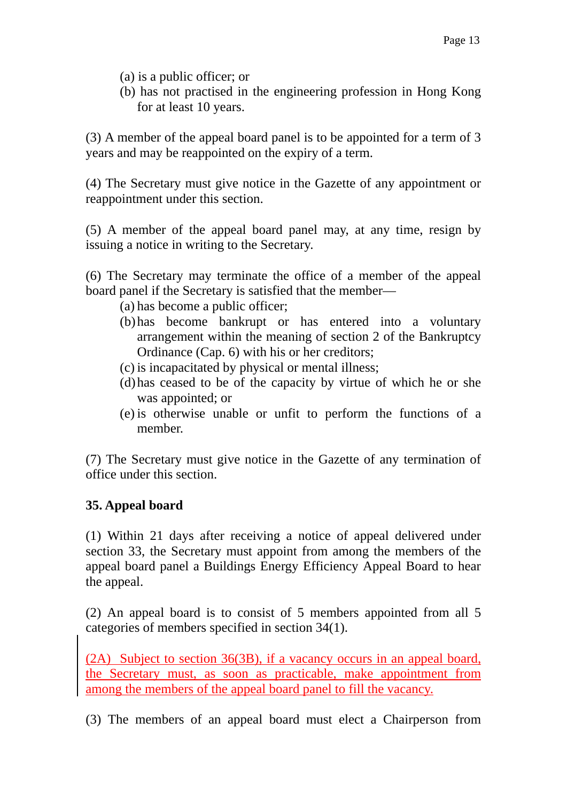- (a) is a public officer; or
- (b) has not practised in the engineering profession in Hong Kong for at least 10 years.

(3) A member of the appeal board panel is to be appointed for a term of 3 years and may be reappointed on the expiry of a term.

(4) The Secretary must give notice in the Gazette of any appointment or reappointment under this section.

(5) A member of the appeal board panel may, at any time, resign by issuing a notice in writing to the Secretary.

(6) The Secretary may terminate the office of a member of the appeal board panel if the Secretary is satisfied that the member—

- (a) has become a public officer;
- (b) has become bankrupt or has entered into a voluntary arrangement within the meaning of section 2 of the Bankruptcy Ordinance (Cap. 6) with his or her creditors;
- (c) is incapacitated by physical or mental illness;
- (d) has ceased to be of the capacity by virtue of which he or she was appointed; or
- (e) is otherwise unable or unfit to perform the functions of a member.

(7) The Secretary must give notice in the Gazette of any termination of office under this section.

## **35. Appeal board**

(1) Within 21 days after receiving a notice of appeal delivered under section 33, the Secretary must appoint from among the members of the appeal board panel a Buildings Energy Efficiency Appeal Board to hear the appeal.

(2) An appeal board is to consist of 5 members appointed from all 5 categories of members specified in section 34(1).

(2A) Subject to section 36(3B), if a vacancy occurs in an appeal board, the Secretary must, as soon as practicable, make appointment from among the members of the appeal board panel to fill the vacancy.

(3) The members of an appeal board must elect a Chairperson from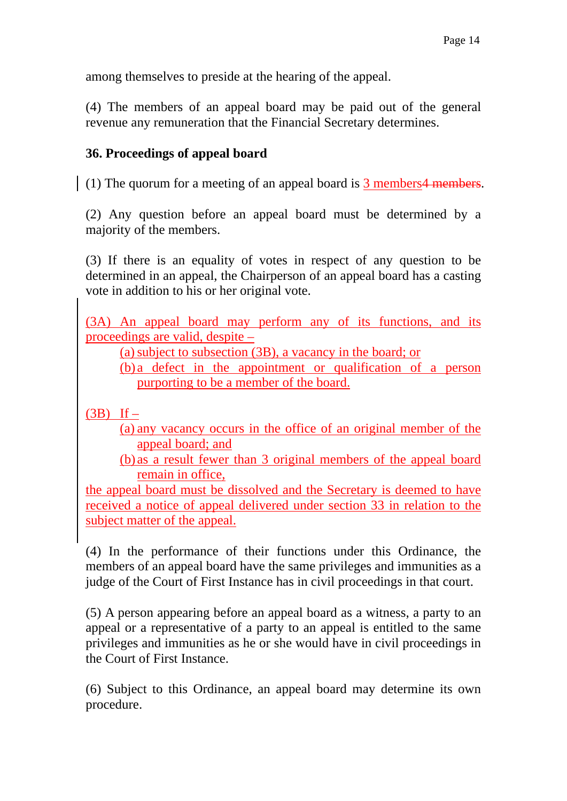among themselves to preside at the hearing of the appeal.

(4) The members of an appeal board may be paid out of the general revenue any remuneration that the Financial Secretary determines.

#### **36. Proceedings of appeal board**

(1) The quorum for a meeting of an appeal board is  $\overline{3}$  members 4 members.

(2) Any question before an appeal board must be determined by a majority of the members.

(3) If there is an equality of votes in respect of any question to be determined in an appeal, the Chairperson of an appeal board has a casting vote in addition to his or her original vote.

(3A) An appeal board may perform any of its functions, and its proceedings are valid, despite –

(a) subject to subsection (3B), a vacancy in the board; or

(b) a defect in the appointment or qualification of a person purporting to be a member of the board.

 $(3B)$  If –

(a) any vacancy occurs in the office of an original member of the appeal board; and

(b) as a result fewer than 3 original members of the appeal board remain in office,

the appeal board must be dissolved and the Secretary is deemed to have received a notice of appeal delivered under section 33 in relation to the subject matter of the appeal.

(4) In the performance of their functions under this Ordinance, the members of an appeal board have the same privileges and immunities as a judge of the Court of First Instance has in civil proceedings in that court.

(5) A person appearing before an appeal board as a witness, a party to an appeal or a representative of a party to an appeal is entitled to the same privileges and immunities as he or she would have in civil proceedings in the Court of First Instance.

(6) Subject to this Ordinance, an appeal board may determine its own procedure.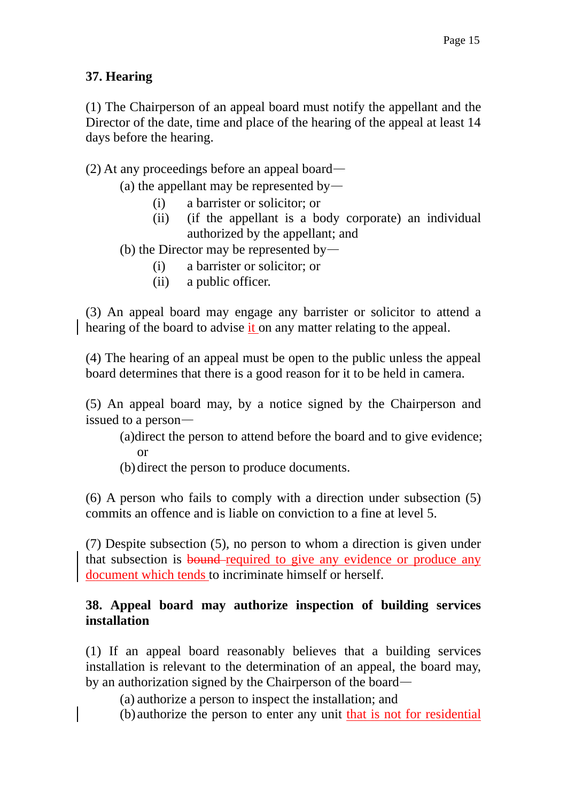## **37. Hearing**

(1) The Chairperson of an appeal board must notify the appellant and the Director of the date, time and place of the hearing of the appeal at least 14 days before the hearing.

#### (2) At any proceedings before an appeal board—

- (a) the appellant may be represented by—
	- (i) a barrister or solicitor; or
	- (ii) (if the appellant is a body corporate) an individual authorized by the appellant; and
- (b) the Director may be represented by—
	- (i) a barrister or solicitor; or
	- (ii) a public officer.

(3) An appeal board may engage any barrister or solicitor to attend a hearing of the board to advise it on any matter relating to the appeal.

(4) The hearing of an appeal must be open to the public unless the appeal board determines that there is a good reason for it to be held in camera.

(5) An appeal board may, by a notice signed by the Chairperson and issued to a person—

(a)direct the person to attend before the board and to give evidence; or

(b) direct the person to produce documents.

(6) A person who fails to comply with a direction under subsection (5) commits an offence and is liable on conviction to a fine at level 5.

(7) Despite subsection (5), no person to whom a direction is given under that subsection is bound required to give any evidence or produce any document which tends to incriminate himself or herself.

#### **38. Appeal board may authorize inspection of building services installation**

(1) If an appeal board reasonably believes that a building services installation is relevant to the determination of an appeal, the board may, by an authorization signed by the Chairperson of the board—

(a) authorize a person to inspect the installation; and

(b) authorize the person to enter any unit that is not for residential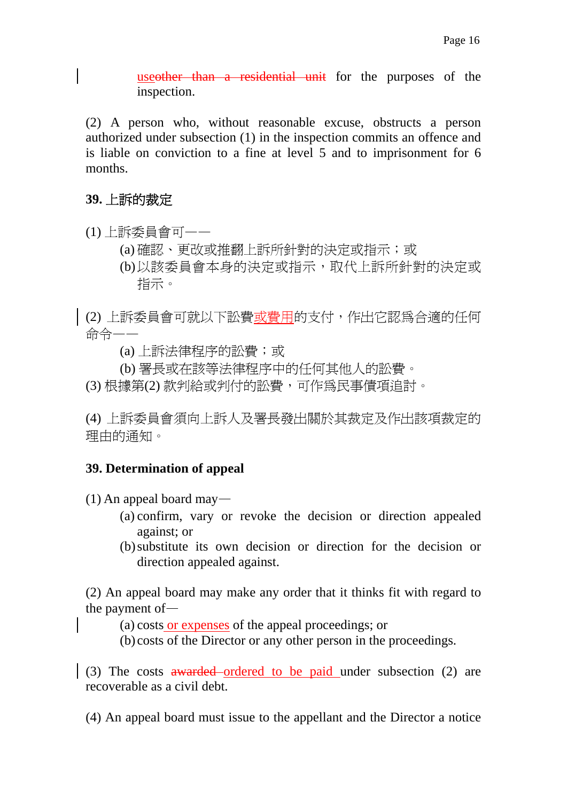useother than a residential unit for the purposes of the inspection.

(2) A person who, without reasonable excuse, obstructs a person authorized under subsection (1) in the inspection commits an offence and is liable on conviction to a fine at level 5 and to imprisonment for 6 months.

#### **39.** 上訴的裁定

- (1) 上訴委員會可——
	- (a) 確認、更改或推翻上訴所針對的決定或指示;或
	- (b) 以該委員會本身的決定或指示,取代上訴所針對的決定或 指示。
- (2) 上訴委員會可就以下訟費或費用的支付,作出它認為合適的任何 命令——
	- (a) 上訴法律程序的訟費;或
	- (b) 署長或在該等法律程序中的任何其他人的訟費。
- (3) 根據第(2) 款判給或判付的訟費,可作為民事債項追討。

(4) 上訴委員會須向上訴人及署長發出關於其裁定及作出該項裁定的 理由的通知。

#### **39. Determination of appeal**

(1) An appeal board may—

- (a) confirm, vary or revoke the decision or direction appealed against; or
- (b) substitute its own decision or direction for the decision or direction appealed against.

(2) An appeal board may make any order that it thinks fit with regard to the payment of—

- (a) costs or expenses of the appeal proceedings; or
- (b) costs of the Director or any other person in the proceedings.

(3) The costs awarded ordered to be paid under subsection (2) are recoverable as a civil debt.

(4) An appeal board must issue to the appellant and the Director a notice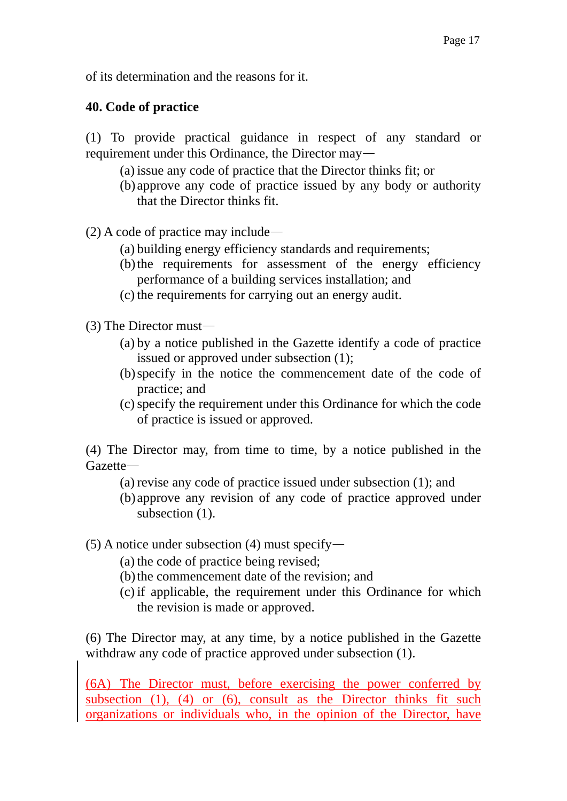of its determination and the reasons for it.

#### **40. Code of practice**

- (1) To provide practical guidance in respect of any standard or requirement under this Ordinance, the Director may—
	- (a) issue any code of practice that the Director thinks fit; or
	- (b) approve any code of practice issued by any body or authority that the Director thinks fit.

(2) A code of practice may include—

- (a) building energy efficiency standards and requirements;
- (b) the requirements for assessment of the energy efficiency performance of a building services installation; and
- (c) the requirements for carrying out an energy audit.
- (3) The Director must—
	- (a) by a notice published in the Gazette identify a code of practice issued or approved under subsection (1);
	- (b) specify in the notice the commencement date of the code of practice; and
	- (c) specify the requirement under this Ordinance for which the code of practice is issued or approved.

(4) The Director may, from time to time, by a notice published in the Gazette—

- (a) revise any code of practice issued under subsection (1); and
- (b) approve any revision of any code of practice approved under subsection  $(1)$ .

 $(5)$  A notice under subsection (4) must specify—

- (a) the code of practice being revised;
- (b) the commencement date of the revision; and
- (c) if applicable, the requirement under this Ordinance for which the revision is made or approved.

(6) The Director may, at any time, by a notice published in the Gazette withdraw any code of practice approved under subsection (1).

(6A) The Director must, before exercising the power conferred by subsection  $(1)$ ,  $(4)$  or  $(6)$ , consult as the Director thinks fit such organizations or individuals who, in the opinion of the Director, have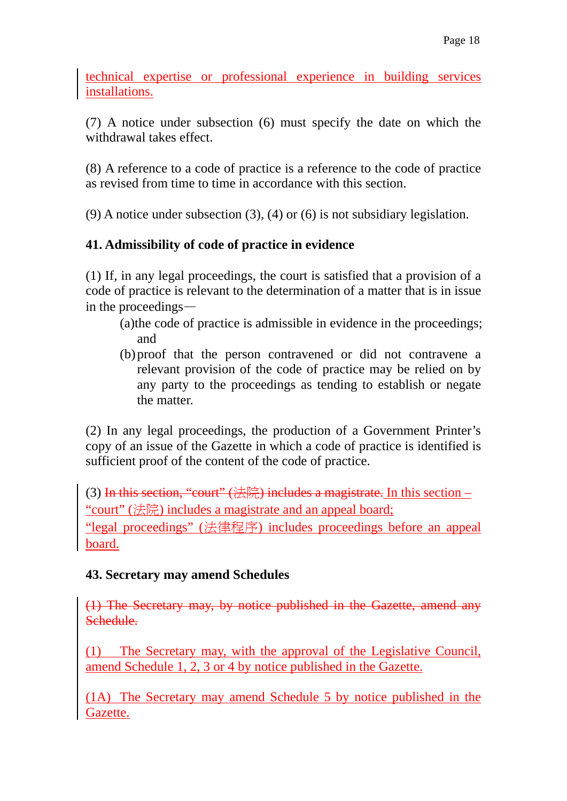technical expertise or professional experience in building services installations.

(7) A notice under subsection (6) must specify the date on which the withdrawal takes effect.

(8) A reference to a code of practice is a reference to the code of practice as revised from time to time in accordance with this section.

(9) A notice under subsection (3), (4) or (6) is not subsidiary legislation.

## **41. Admissibility of code of practice in evidence**

(1) If, in any legal proceedings, the court is satisfied that a provision of a code of practice is relevant to the determination of a matter that is in issue in the proceedings—

- (a)the code of practice is admissible in evidence in the proceedings; and
- (b) proof that the person contravened or did not contravene a relevant provision of the code of practice may be relied on by any party to the proceedings as tending to establish or negate the matter.

(2) In any legal proceedings, the production of a Government Printer's copy of an issue of the Gazette in which a code of practice is identified is sufficient proof of the content of the code of practice.

(3) In this section, "court"  $(\#E)$  includes a magistrate. In this section – "court" (法院) includes a magistrate and an appeal board; "legal proceedings" (法律程序) includes proceedings before an appeal board.

## **43. Secretary may amend Schedules**

(1) The Secretary may, by notice published in the Gazette, amend any Schedule.

(1) The Secretary may, with the approval of the Legislative Council, amend Schedule 1, 2, 3 or 4 by notice published in the Gazette.

(1A) The Secretary may amend Schedule 5 by notice published in the Gazette.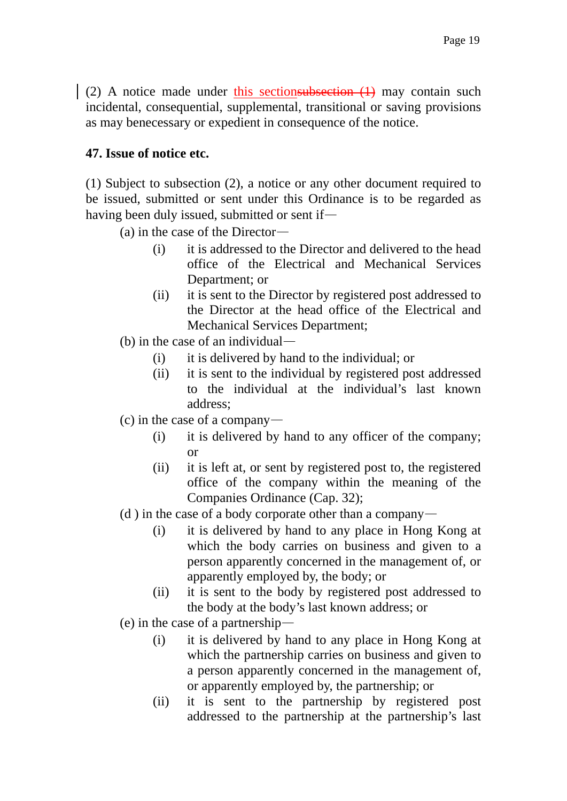(2) A notice made under this sectionsubsection  $(1)$  may contain such incidental, consequential, supplemental, transitional or saving provisions as may benecessary or expedient in consequence of the notice.

## **47. Issue of notice etc.**

(1) Subject to subsection (2), a notice or any other document required to be issued, submitted or sent under this Ordinance is to be regarded as having been duly issued, submitted or sent if—

(a) in the case of the Director—

- (i) it is addressed to the Director and delivered to the head office of the Electrical and Mechanical Services Department; or
- (ii) it is sent to the Director by registered post addressed to the Director at the head office of the Electrical and Mechanical Services Department;
- (b) in the case of an individual—
	- (i) it is delivered by hand to the individual; or
	- (ii) it is sent to the individual by registered post addressed to the individual at the individual's last known address;
- (c) in the case of a company—
	- (i) it is delivered by hand to any officer of the company; or
	- (ii) it is left at, or sent by registered post to, the registered office of the company within the meaning of the Companies Ordinance (Cap. 32);
- (d) in the case of a body corporate other than a company—
	- (i) it is delivered by hand to any place in Hong Kong at which the body carries on business and given to a person apparently concerned in the management of, or apparently employed by, the body; or
	- (ii) it is sent to the body by registered post addressed to the body at the body's last known address; or
- (e) in the case of a partnership—
	- (i) it is delivered by hand to any place in Hong Kong at which the partnership carries on business and given to a person apparently concerned in the management of, or apparently employed by, the partnership; or
	- (ii) it is sent to the partnership by registered post addressed to the partnership at the partnership's last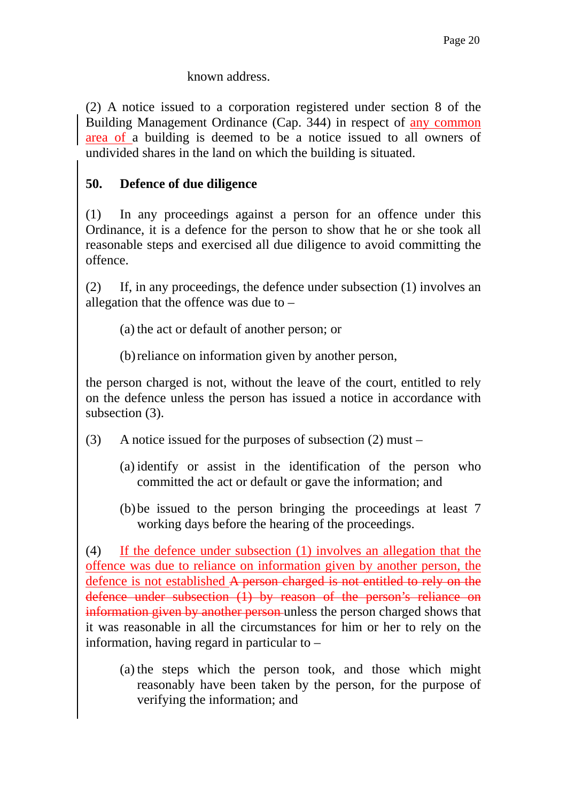#### known address.

(2) A notice issued to a corporation registered under section 8 of the Building Management Ordinance (Cap. 344) in respect of any common area of a building is deemed to be a notice issued to all owners of undivided shares in the land on which the building is situated.

## **50. Defence of due diligence**

(1) In any proceedings against a person for an offence under this Ordinance, it is a defence for the person to show that he or she took all reasonable steps and exercised all due diligence to avoid committing the offence.

(2) If, in any proceedings, the defence under subsection (1) involves an allegation that the offence was due to –

(a) the act or default of another person; or

(b) reliance on information given by another person,

the person charged is not, without the leave of the court, entitled to rely on the defence unless the person has issued a notice in accordance with subsection  $(3)$ .

- (3) A notice issued for the purposes of subsection (2) must
	- (a) identify or assist in the identification of the person who committed the act or default or gave the information; and
	- (b) be issued to the person bringing the proceedings at least 7 working days before the hearing of the proceedings.

(4) If the defence under subsection (1) involves an allegation that the offence was due to reliance on information given by another person, the defence is not established A person charged is not entitled to rely on the defence under subsection (1) by reason of the person's reliance on information given by another person unless the person charged shows that it was reasonable in all the circumstances for him or her to rely on the information, having regard in particular to –

(a) the steps which the person took, and those which might reasonably have been taken by the person, for the purpose of verifying the information; and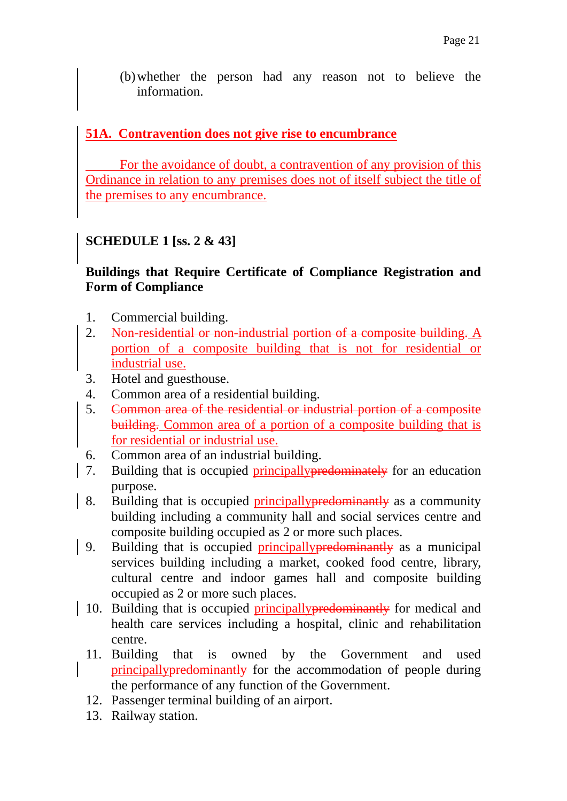(b) whether the person had any reason not to believe the information.

## **51A. Contravention does not give rise to encumbrance**

 For the avoidance of doubt, a contravention of any provision of this Ordinance in relation to any premises does not of itself subject the title of the premises to any encumbrance.

# **SCHEDULE 1 [ss. 2 & 43]**

## **Buildings that Require Certificate of Compliance Registration and Form of Compliance**

- 1. Commercial building.
- 2. Non-residential or non-industrial portion of a composite building.  $\underline{A}$ portion of a composite building that is not for residential or industrial use.
- 3. Hotel and guesthouse.
- 4. Common area of a residential building.
- 5. Common area of the residential or industrial portion of a composite building. Common area of a portion of a composite building that is for residential or industrial use.
- 6. Common area of an industrial building.
- 7. Building that is occupied principally predominately for an education purpose.
- 8. Building that is occupied principally predominantly as a community building including a community hall and social services centre and composite building occupied as 2 or more such places.
- 9. Building that is occupied principally predominantly as a municipal services building including a market, cooked food centre, library, cultural centre and indoor games hall and composite building occupied as 2 or more such places.
	- 10. Building that is occupied principallypredominantly for medical and health care services including a hospital, clinic and rehabilitation centre.
	- 11. Building that is owned by the Government and used principallypredominantly for the accommodation of people during the performance of any function of the Government.
	- 12. Passenger terminal building of an airport.
	- 13. Railway station.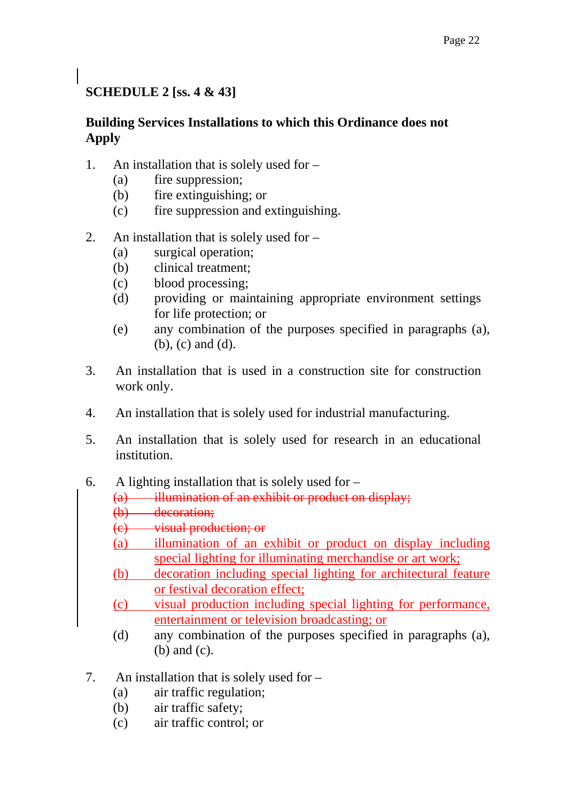# **SCHEDULE 2 [ss. 4 & 43]**

## **Building Services Installations to which this Ordinance does not Apply**

- 1. An installation that is solely used for
	- (a) fire suppression;
	- (b) fire extinguishing; or
	- (c) fire suppression and extinguishing.
- 2. An installation that is solely used for
	- (a) surgical operation;
	- (b) clinical treatment;
	- (c) blood processing;
	- (d) providing or maintaining appropriate environment settings for life protection; or
	- (e) any combination of the purposes specified in paragraphs (a), (b), (c) and (d).
- 3. An installation that is used in a construction site for construction work only.
- 4. An installation that is solely used for industrial manufacturing.
- 5. An installation that is solely used for research in an educational institution.
- 6. A lighting installation that is solely used for
	- (a) illumination of an exhibit or product on display;
	- (b) decoration;
	- (c) visual production; or
	- (a) illumination of an exhibit or product on display including special lighting for illuminating merchandise or art work;
	- (b) decoration including special lighting for architectural feature or festival decoration effect;
	- (c) visual production including special lighting for performance, entertainment or television broadcasting; or
	- (d) any combination of the purposes specified in paragraphs (a), (b) and (c).
- 7. An installation that is solely used for
	- (a) air traffic regulation;
	- (b) air traffic safety;
	- (c) air traffic control; or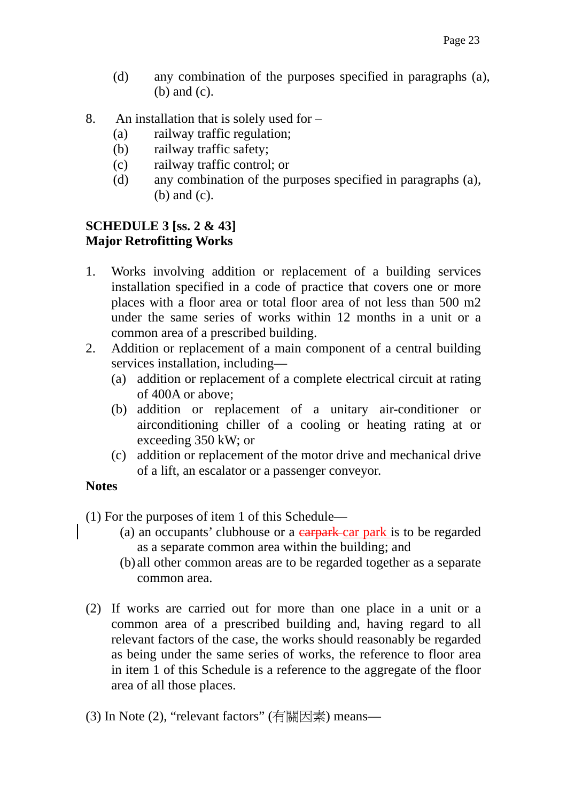- (d) any combination of the purposes specified in paragraphs (a), (b) and (c).
- 8. An installation that is solely used for
	- (a) railway traffic regulation;
	- (b) railway traffic safety;
	- (c) railway traffic control; or
	- (d) any combination of the purposes specified in paragraphs (a), (b) and (c).

#### **SCHEDULE 3 [ss. 2 & 43] Major Retrofitting Works**

- 1. Works involving addition or replacement of a building services installation specified in a code of practice that covers one or more places with a floor area or total floor area of not less than 500 m2 under the same series of works within 12 months in a unit or a common area of a prescribed building.
- 2. Addition or replacement of a main component of a central building services installation, including—
	- (a) addition or replacement of a complete electrical circuit at rating of 400A or above;
	- (b) addition or replacement of a unitary air-conditioner or airconditioning chiller of a cooling or heating rating at or exceeding 350 kW; or
	- (c) addition or replacement of the motor drive and mechanical drive of a lift, an escalator or a passenger conveyor.

#### **Notes**

(1) For the purposes of item 1 of this Schedule—

- (a) an occupants' clubhouse or a carpark car park is to be regarded as a separate common area within the building; and
- (b) all other common areas are to be regarded together as a separate common area.
- (2) If works are carried out for more than one place in a unit or a common area of a prescribed building and, having regard to all relevant factors of the case, the works should reasonably be regarded as being under the same series of works, the reference to floor area in item 1 of this Schedule is a reference to the aggregate of the floor area of all those places.
- (3) In Note (2), "relevant factors" (有關因素) means—